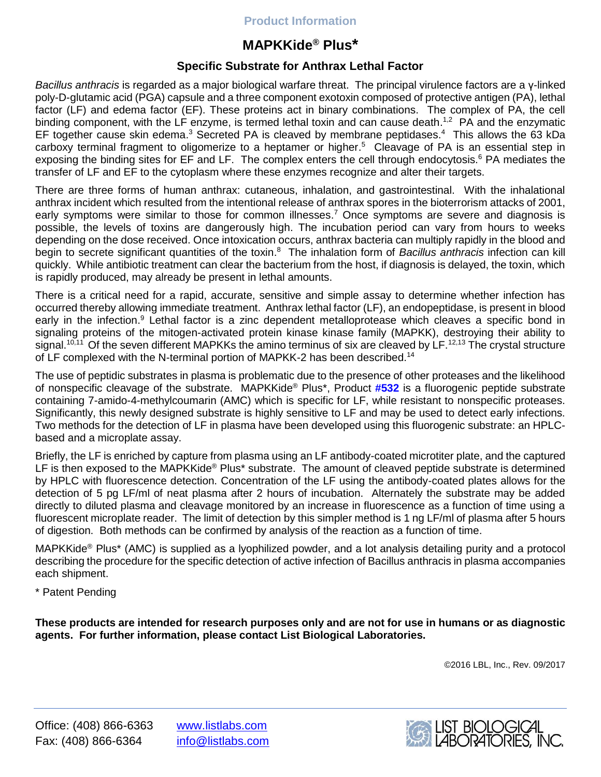# **Product Information**

# **MAPKKide® Plus\***

# **Specific Substrate for Anthrax Lethal Factor**

*Bacillus anthracis* is regarded as a major biological warfare threat. The principal virulence factors are a γ-linked poly-D-glutamic acid (PGA) capsule and a three component exotoxin composed of protective antigen (PA), lethal factor (LF) and edema factor (EF). These proteins act in binary combinations. The complex of PA, the cell binding component, with the LF enzyme, is termed lethal toxin and can cause death.<sup>1,2</sup> PA and the enzymatic EF together cause skin edema.<sup>3</sup> Secreted PA is cleaved by membrane peptidases.<sup>4</sup> This allows the 63 kDa carboxy terminal fragment to oligomerize to a heptamer or higher. 5 Cleavage of PA is an essential step in exposing the binding sites for EF and LF. The complex enters the cell through endocytosis.<sup>6</sup> PA mediates the transfer of LF and EF to the cytoplasm where these enzymes recognize and alter their targets.

There are three forms of human anthrax: cutaneous, inhalation, and gastrointestinal. With the inhalational anthrax incident which resulted from the intentional release of anthrax spores in the bioterrorism attacks of 2001, early symptoms were similar to those for common illnesses.<sup>7</sup> Once symptoms are severe and diagnosis is possible, the levels of toxins are dangerously high. The incubation period can vary from hours to weeks depending on the dose received. Once intoxication occurs, anthrax bacteria can multiply rapidly in the blood and begin to secrete significant quantities of the toxin. 8 The inhalation form of *Bacillus anthracis* infection can kill quickly. While antibiotic treatment can clear the bacterium from the host, if diagnosis is delayed, the toxin, which is rapidly produced, may already be present in lethal amounts.

There is a critical need for a rapid, accurate, sensitive and simple assay to determine whether infection has occurred thereby allowing immediate treatment. Anthrax lethal factor (LF), an endopeptidase, is present in blood early in the infection.<sup>9</sup> Lethal factor is a zinc dependent metalloprotease which cleaves a specific bond in signaling proteins of the mitogen-activated protein kinase kinase family (MAPKK), destroying their ability to signal.<sup>10,11</sup> Of the seven different MAPKKs the amino terminus of six are cleaved by LF.<sup>12,13</sup> The crystal structure of LF complexed with the N-terminal portion of MAPKK-2 has been described.<sup>14</sup>

The use of peptidic substrates in plasma is problematic due to the presence of other proteases and the likelihood of nonspecific cleavage of the substrate. MAPKKide® Plus\*, Product **[#532](https://www.listlabs.com/products/buy-mapkkide-plus-amc-specific-substrate-for-anthrax-lethal-factor)** is a fluorogenic peptide substrate containing 7-amido-4-methylcoumarin (AMC) which is specific for LF, while resistant to nonspecific proteases. Significantly, this newly designed substrate is highly sensitive to LF and may be used to detect early infections. Two methods for the detection of LF in plasma have been developed using this fluorogenic substrate: an HPLCbased and a microplate assay.

Briefly, the LF is enriched by capture from plasma using an LF antibody-coated microtiter plate, and the captured LF is then exposed to the MAPKKide® Plus<sup>\*</sup> substrate. The amount of cleaved peptide substrate is determined by HPLC with fluorescence detection. Concentration of the LF using the antibody-coated plates allows for the detection of 5 pg LF/ml of neat plasma after 2 hours of incubation. Alternately the substrate may be added directly to diluted plasma and cleavage monitored by an increase in fluorescence as a function of time using a fluorescent microplate reader. The limit of detection by this simpler method is 1 ng LF/ml of plasma after 5 hours of digestion. Both methods can be confirmed by analysis of the reaction as a function of time.

MAPKKide® Plus\* (AMC) is supplied as a lyophilized powder, and a lot analysis detailing purity and a protocol describing the procedure for the specific detection of active infection of Bacillus anthracis in plasma accompanies each shipment.

\* Patent Pending

**These products are intended for research purposes only and are not for use in humans or as diagnostic agents. For further information, please contact List Biological Laboratories.**

©2016 LBL, Inc., Rev. 09/2017

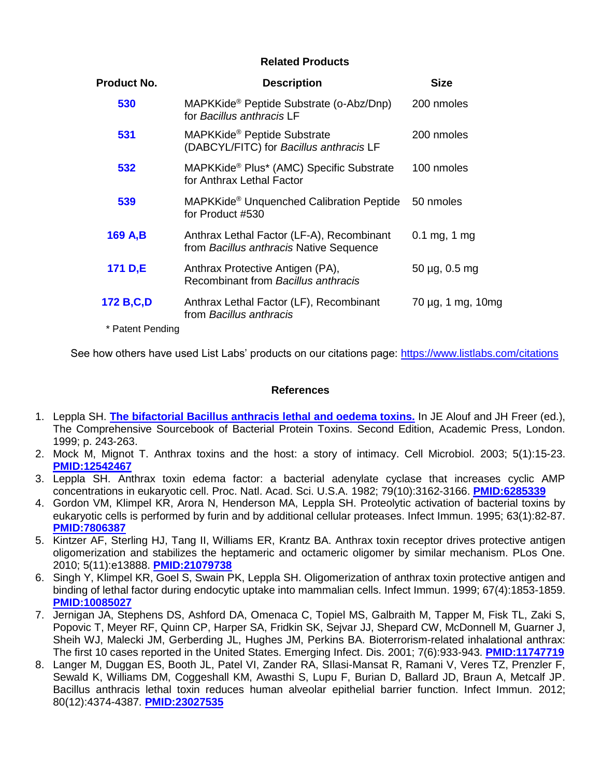### **Related Products**

| <b>Product No.</b> | <b>Description</b>                                                                   | <b>Size</b>                |
|--------------------|--------------------------------------------------------------------------------------|----------------------------|
| 530                | MAPKKide <sup>®</sup> Peptide Substrate (o-Abz/Dnp)<br>for Bacillus anthracis I F    | 200 nmoles                 |
| 531                | MAPKKide <sup>®</sup> Peptide Substrate<br>(DABCYL/FITC) for Bacillus anthracis LF   | 200 nmoles                 |
| 532                | MAPKKide® Plus* (AMC) Specific Substrate<br>for Anthrax Lethal Factor                | 100 nmoles                 |
| 539                | MAPKKide <sup>®</sup> Unquenched Calibration Peptide<br>for Product #530             | 50 nmoles                  |
| 169 A,B            | Anthrax Lethal Factor (LF-A), Recombinant<br>from Bacillus anthracis Native Sequence | $0.1 \,\mathrm{mg}$ , 1 mg |
| 171 D,E            | Anthrax Protective Antigen (PA),<br>Recombinant from Bacillus anthracis              | $50 \mu g$ , 0.5 mg        |
| 172 B,C,D          | Anthrax Lethal Factor (LF), Recombinant<br>from Bacillus anthracis                   | 70 μg, 1 mg, 10mg          |
| * Patent Pending   |                                                                                      |                            |

See how others have used List Labs' products on our citations page:<https://www.listlabs.com/citations>

#### **References**

- 1. Leppla SH. **[The bifactorial Bacillus anthracis](http://assistly-production.s3.amazonaws.com/196521/kb_article_attachments/121184/Anthrax_Toxin_Ref_1_original.pdf?AWSAccessKeyId=AKIAJNSFWOZ6ZS23BMKQ&Expires=1506375112&Signature=VfCV09DVhHYwl3yvessajUM1VvA%3D&response-content-disposition=filename%3D%22Anthrax_Toxin_Ref_1.pdf%22&response-content-type=application%2Fpdf) lethal and oedema toxins.** In JE Alouf and JH Freer (ed.), The Comprehensive Sourcebook of Bacterial Protein Toxins. Second Edition, Academic Press, London. 1999; p. 243-263.
- 2. Mock M, Mignot T. Anthrax toxins and the host: a story of intimacy. Cell Microbiol. 2003; 5(1):15-23. **[PMID:12542467](https://www.ncbi.nlm.nih.gov/pubmed/?term=12542467)**
- 3. Leppla SH. Anthrax toxin edema factor: a bacterial adenylate cyclase that increases cyclic AMP concentrations in eukaryotic cell. Proc. Natl. Acad. Sci. U.S.A. 1982; 79(10):3162-3166. **[PMID:6285339](https://www.ncbi.nlm.nih.gov/pubmed/?term=6285339)**
- 4. Gordon VM, Klimpel KR, Arora N, Henderson MA, Leppla SH. Proteolytic activation of bacterial toxins by eukaryotic cells is performed by furin and by additional cellular proteases. Infect Immun. 1995; 63(1):82-87. **[PMID:7806387](https://www.ncbi.nlm.nih.gov/pubmed/?term=7806387)**
- 5. Kintzer AF, Sterling HJ, Tang II, Williams ER, Krantz BA. Anthrax toxin receptor drives protective antigen oligomerization and stabilizes the heptameric and octameric oligomer by similar mechanism. PLos One. 2010; 5(11):e13888. **[PMID:21079738](https://www.ncbi.nlm.nih.gov/pubmed/?term=21079738)**
- 6. Singh Y, Klimpel KR, Goel S, Swain PK, Leppla SH. Oligomerization of anthrax toxin protective antigen and binding of lethal factor during endocytic uptake into mammalian cells. Infect Immun. 1999; 67(4):1853-1859. **[PMID:10085027](https://www.ncbi.nlm.nih.gov/pubmed/?term=10085027)**
- 7. Jernigan JA, Stephens DS, Ashford DA, Omenaca C, Topiel MS, Galbraith M, Tapper M, Fisk TL, Zaki S, Popovic T, Meyer RF, Quinn CP, Harper SA, Fridkin SK, Sejvar JJ, Shepard CW, McDonnell M, Guarner J, Sheih WJ, Malecki JM, Gerberding JL, Hughes JM, Perkins BA. Bioterrorism-related inhalational anthrax: The first 10 cases reported in the United States. Emerging Infect. Dis. 2001; 7(6):933-943. **[PMID:11747719](https://www.ncbi.nlm.nih.gov/pubmed/?term=11747719)**
- 8. Langer M, Duggan ES, Booth JL, Patel VI, Zander RA, SIlasi-Mansat R, Ramani V, Veres TZ, Prenzler F, Sewald K, Williams DM, Coggeshall KM, Awasthi S, Lupu F, Burian D, Ballard JD, Braun A, Metcalf JP. Bacillus anthracis lethal toxin reduces human alveolar epithelial barrier function. Infect Immun. 2012; 80(12):4374-4387. **[PMID:23027535](https://www.ncbi.nlm.nih.gov/pubmed/?term=23027535)**